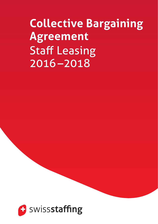# **Collective Bargaining Agreement** Staff Leasing 2016 –2018

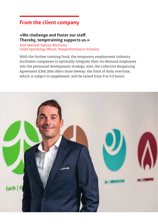### **From the client company**

#### **«We challenge and foster our staff. Thereby, temptraining supports us.»**

José Manuel Taboas Martinez Chief Operating Officer, Teleperformance Schweiz

With the further training fund, the temporary employment industry facilitates companies to optimally integrate their on-demand employees into the personnel development strategy. Also, the Collective Bargaining Agreement (CBA) 2016 offers more leeway: the limit of daily overtime, which is subject to supplement, will be raised from 9 to 9.5 hours.

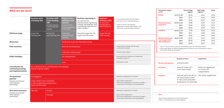| What are the facts?                                                                   |                                                                                         |                                                                                    |                                                                                                              |                                                                                                                                                                                               |                                                                                                                                |                                                                                                                                                                                                                                  | Hourly base wages *<br>(CHF)                                                                                                                                                                                              | High-wage<br>Normal wage<br>regions **<br>regions |                                                                                                                                             |            | Ticino |
|---------------------------------------------------------------------------------------|-----------------------------------------------------------------------------------------|------------------------------------------------------------------------------------|--------------------------------------------------------------------------------------------------------------|-----------------------------------------------------------------------------------------------------------------------------------------------------------------------------------------------|--------------------------------------------------------------------------------------------------------------------------------|----------------------------------------------------------------------------------------------------------------------------------------------------------------------------------------------------------------------------------|---------------------------------------------------------------------------------------------------------------------------------------------------------------------------------------------------------------------------|---------------------------------------------------|---------------------------------------------------------------------------------------------------------------------------------------------|------------|--------|
|                                                                                       |                                                                                         |                                                                                    |                                                                                                              |                                                                                                                                                                                               |                                                                                                                                |                                                                                                                                                                                                                                  | <b>Skilled</b>                                                                                                                                                                                                            | as of 1.5.16                                      | 22.50                                                                                                                                       | 24.14      | 21.95  |
|                                                                                       | <b>Business with</b>                                                                    | <b>Business with</b>                                                               | <b>Region with a</b><br>standard work<br>contract<br>as per the Swiss<br>Code of Obligations<br>Article 360a | <b>Business operating in</b><br>the chemical and<br>pharmaceutical, engineering,<br>printing, watchmaking <sup>1</sup> , food<br>and beverage industries and<br>public transport <sup>2</sup> | <b>Business</b><br>without a CBA<br>(or with a non-<br>binding CBA not<br>listed in Annex 1)                                   | <sup>1</sup> if not subordinated to the CBA Watch;<br>otherwise Annex 1 CBA Staff Leasing<br><sup>2</sup> Canton of Ticino: the Standard<br>employment contract (SEC) applies to all<br>industries, except for public transport. |                                                                                                                                                                                                                           | 2017                                              | 22.77                                                                                                                                       | 24.42      | 21.95  |
|                                                                                       | a binding CBA                                                                           | a non-binding<br><b>CBA</b><br>as listed in Annex<br>1 of the CBA Staff<br>Leasing |                                                                                                              |                                                                                                                                                                                               |                                                                                                                                |                                                                                                                                                                                                                                  |                                                                                                                                                                                                                           | 2018                                              | 23.32                                                                                                                                       | 24.97      | 21.95  |
|                                                                                       |                                                                                         |                                                                                    |                                                                                                              |                                                                                                                                                                                               |                                                                                                                                |                                                                                                                                                                                                                                  | <b>With professional</b><br>experience<br><b>Unskilled</b>                                                                                                                                                                | as of 1.5.16                                      | 19.80                                                                                                                                       | 21.25      | 19.31  |
|                                                                                       |                                                                                         |                                                                                    |                                                                                                              |                                                                                                                                                                                               |                                                                                                                                |                                                                                                                                                                                                                                  |                                                                                                                                                                                                                           | 2017                                              | 20.04                                                                                                                                       | 21.49      | 19.31  |
|                                                                                       |                                                                                         |                                                                                    |                                                                                                              |                                                                                                                                                                                               |                                                                                                                                |                                                                                                                                                                                                                                  |                                                                                                                                                                                                                           | 2018                                              | 20.52                                                                                                                                       | 21.97      | 19.31  |
|                                                                                       |                                                                                         |                                                                                    |                                                                                                              |                                                                                                                                                                                               |                                                                                                                                |                                                                                                                                                                                                                                  |                                                                                                                                                                                                                           | as of 1.5.16                                      | 17.56                                                                                                                                       | 18.66      | 16.46  |
| Minimum wage                                                                          | As per the<br>binding CBA                                                               | As per the<br>non-binding CBA                                                      | As per the<br>standard work<br>contract                                                                      | Standard wages for the<br>region and the trade                                                                                                                                                | As per the CBA<br><b>Staff Leasing</b>                                                                                         |                                                                                                                                                                                                                                  |                                                                                                                                                                                                                           | 2017                                              | 18.11                                                                                                                                       | 19.20      | 16.46  |
|                                                                                       |                                                                                         |                                                                                    |                                                                                                              |                                                                                                                                                                                               |                                                                                                                                |                                                                                                                                                                                                                                  |                                                                                                                                                                                                                           | 2018                                              | 18.66                                                                                                                                       | 19.75      | 16.46  |
|                                                                                       |                                                                                         |                                                                                    |                                                                                                              |                                                                                                                                                                                               |                                                                                                                                |                                                                                                                                                                                                                                  | <b>Workers in first year</b>                                                                                                                                                                                              | as of 1.5.16                                      | 20.25                                                                                                                                       | 21.73      | 19.75  |
| <b>Work time</b>                                                                      |                                                                                         |                                                                                    | Work time as per the CBA Staff Leasing                                                                       |                                                                                                                                                                                               |                                                                                                                                |                                                                                                                                                                                                                                  | of post-apprentice-<br>ship employment                                                                                                                                                                                    | 2017                                              | 20.49                                                                                                                                       | 21.98      | 19.75  |
|                                                                                       |                                                                                         |                                                                                    |                                                                                                              |                                                                                                                                                                                               |                                                                                                                                |                                                                                                                                                                                                                                  |                                                                                                                                                                                                                           | 2018                                              | 20.99                                                                                                                                       | 22.47      | 19.75  |
| <b>Paid vacations</b>                                                                 |                                                                                         |                                                                                    | 10.6% (25 working days)                                                                                      |                                                                                                                                                                                               |                                                                                                                                | Temp workers younger than 20 years<br>or older than 50 years                                                                                                                                                                     | * plus 13th month salary, vacations and holidays as per the CBA Staff Leasing<br>** high-wage regions include the agglomeration of Berne, the Arc Lémanique as well as<br>the Cantons of BS, BL, GE and ZH                |                                                   |                                                                                                                                             |            |        |
|                                                                                       |                                                                                         |                                                                                    | 8.33% (20 working days)                                                                                      |                                                                                                                                                                                               |                                                                                                                                | All other temp workers                                                                                                                                                                                                           |                                                                                                                                                                                                                           |                                                   |                                                                                                                                             |            |        |
| <b>Public holidays</b>                                                                |                                                                                         |                                                                                    | No compensation                                                                                              |                                                                                                                                                                                               |                                                                                                                                | During the first 13 weeks of an assignment<br>(exception: August 1st)                                                                                                                                                            |                                                                                                                                                                                                                           | <b>Number of hours</b>                            |                                                                                                                                             | Supplement |        |
|                                                                                       |                                                                                         |                                                                                    | 3.2%                                                                                                         |                                                                                                                                                                                               |                                                                                                                                | From the 14th week                                                                                                                                                                                                               | <b>Normal working hours</b>                                                                                                                                                                                               |                                                   | 42 hours/week                                                                                                                               |            |        |
| <b>Contribution for</b><br>continuing training<br>and implementation                  | 1%, of which 0.3% is contributed by the employer<br>and 0.7% by the worker              |                                                                                    |                                                                                                              |                                                                                                                                                                                               |                                                                                                                                |                                                                                                                                                                                                                                  | <b>Extra hours</b>                                                                                                                                                                                                        |                                                   | from $43^{\text{rd}}$ (after $42^{\text{nd}}$ )<br>either no supplement<br>to 45 <sup>th</sup> hour/week<br>or 1:1 time-off<br>compensation |            |        |
| <b>Occupational</b><br>pension<br>Premium contribution:<br>50% employer<br>50% worker | No obligation                                                                           |                                                                                    |                                                                                                              |                                                                                                                                                                                               |                                                                                                                                | Maximum assignment of 13 weeks                                                                                                                                                                                                   | from 46 <sup>th</sup> (after the 45 <sup>th</sup> ) to 25% salary supplement<br><b>Overtime</b><br>50 <sup>th</sup> hour/week or from<br>9 <sup>th</sup> hour and a half (after<br>9h 30min) to 12 <sup>th</sup> hour/day |                                                   |                                                                                                                                             |            |        |
|                                                                                       | Temp worker must contribute<br>to the occupational pension plan<br>(from the first day) |                                                                                    |                                                                                                              |                                                                                                                                                                                               |                                                                                                                                | Open-ended assignment or<br>· Fixed-term assignment of more than 13 weeks or<br>• Temp worker with child-care responsibilities                                                                                                   |                                                                                                                                                                                                                           |                                                   |                                                                                                                                             |            |        |
| <b>Sick leave insurance</b><br>Premium contribution:<br>50% employer<br>50% worker    | 720 days                                                                                | 60 days                                                                            |                                                                                                              |                                                                                                                                                                                               |                                                                                                                                | Maximum assignment of 13 weeks                                                                                                                                                                                                   |                                                                                                                                                                                                                           |                                                   |                                                                                                                                             |            |        |
|                                                                                       |                                                                                         | 720 days                                                                           |                                                                                                              |                                                                                                                                                                                               | · Open-ended assignment or<br>· Fixed-term assignment of more than 13 weeks or<br>Temp worker with child-care responsibilities | Note:<br>Several temp assignments in the same business<br>within a 12-month period are added together.                                                                                                                           |                                                                                                                                                                                                                           |                                                   |                                                                                                                                             |            |        |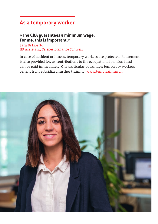# **As a temporary worker**

#### **«The CBA guarantees a minimum wage. For me, this is important.»**

Sara Di Liberto HR Assistant, Teleperformance Schweiz

In case of accident or illness, temporary workers are protected. Retirement is also provided for, as contributions to the occupational pension fund can be paid immediately. One particular advantage: temporary workers benefit from subsidized further training. www.temptraining.ch

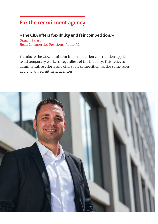## **For the recruitment agency**

### **«The CBA offers flexibility and fair competition.»**

Gianni Parisi Head Commercial Positions, Adato AG

Thanks to the CBA, a uniform implementation contribution applies to all temporary workers, regardless of the industry. This relieves administrative efforts and offers fair competition, as the same rules apply to all recruitment agencies.